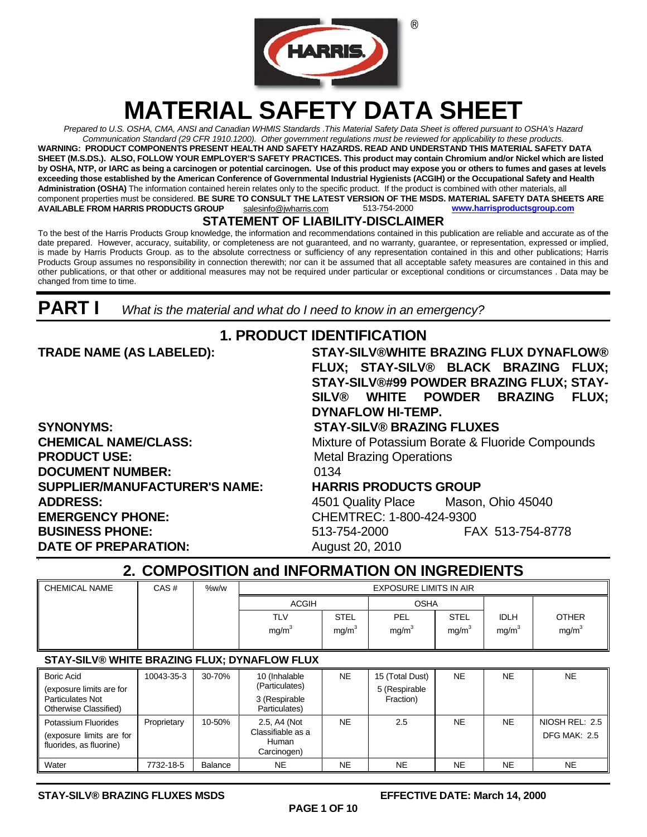

# **MATERIAL SAFETY DATA SHEET**

*Prepared to U.S. OSHA, CMA, ANSI and Canadian WHMIS Standards* .*This Material Safety Data Sheet is offered pursuant to OSHA's Hazard Communication Standard (29 CFR 1910.1200). Other government regulations must be reviewed for applicability to these products.*  **WARNING: PRODUCT COMPONENTS PRESENT HEALTH AND SAFETY HAZARDS. READ AND UNDERSTAND THIS MATERIAL SAFETY DATA SHEET (M.S.DS.). ALSO, FOLLOW YOUR EMPLOYER'S SAFETY PRACTICES. This product may contain Chromium and/or Nickel which are listed by OSHA, NTP, or IARC as being a carcinogen or potential carcinogen. Use of this product may expose you or others to fumes and gases at levels exceeding those established by the American Conference of Governmental Industrial Hygienists (ACGIH) or the Occupational Safety and Health Administration (OSHA)** The information contained herein relates only to the specific product. If the product is combined with other materials, all component properties must be considered. **BE SURE TO CONSULT THE LATEST VERSION OF THE MSDS. MATERIAL SAFETY DATA SHEETS ARE AVAILABLE FROM HARRIS PRODUCTS GROUP** salesinfo@jwharris.com 513-754-2000 **[www.harrisproductsgroup.com](http://www.harrisproductsgroup.com/)**

#### **STATEMENT OF LIABILITY-DISCLAIMER**

To the best of the Harris Products Group knowledge, the information and recommendations contained in this publication are reliable and accurate as of the date prepared. However, accuracy, suitability, or completeness are not guaranteed, and no warranty, guarantee, or representation, expressed or implied, is made by Harris Products Group. as to the absolute correctness or sufficiency of any representation contained in this and other publications; Harris Products Group assumes no responsibility in connection therewith; nor can it be assumed that all acceptable safety measures are contained in this and other publications, or that other or additional measures may not be required under particular or exceptional conditions or circumstances . Data may be changed from time to time.

**PART I** *What is the material and what do I need to know in an emergency?* 

#### **SYNONYMS: STAY-SILV® BRAZING FLUXES PRODUCT USE:** Metal Brazing Operations **DOCUMENT NUMBER:** 0134 **SUPPLIER/MANUFACTURER'S NAME: HARRIS PRODUCTS GROUP**   $ADDRESS:$ **EMERGENCY PHONE: BUSINESS PHONE: DATE OF PREPARATION:**

**0**

### **1. PRODUCT IDENTIFICATION**

**TRADE NAME (AS LABELED): STAY-SILV®WHITE BRAZING FLUX DYNAFLOW® FLUX; STAY-SILV® BLACK BRAZING FLUX; STAY-SILV®#99 POWDER BRAZING FLUX; STAY-SILV® WHITE POWDER BRAZING FLUX; DYNAFLOW HI-TEMP.** 

**CHEMICAL NAME/CLASS:** Mixture of Potassium Borate & Fluoride Compounds

| 4501 Quality Place       | Mason, Ohio 45040 |
|--------------------------|-------------------|
| CHEMTREC: 1-800-424-9300 |                   |
| 513-754-2000             | FAX 513-754-8778  |
| August 20, 2010          |                   |

### **2. COMPOSITION and INFORMATION ON INGREDIENTS**

| II CHEMICAL NAME | CAS# | %w/w | <b>EXPOSURE LIMITS IN AIR</b> |                   |                   |                   |                   |                   |
|------------------|------|------|-------------------------------|-------------------|-------------------|-------------------|-------------------|-------------------|
|                  |      |      | <b>ACGIH</b>                  |                   | <b>OSHA</b>       |                   |                   |                   |
|                  |      |      | <b>TLV</b>                    | <b>STEL</b>       | PEL               | <b>STEL</b>       | <b>IDLH</b>       | <b>OTHER</b>      |
|                  |      |      | mg/m <sup>3</sup>             | mg/m <sup>3</sup> | mg/m <sup>3</sup> | mg/m <sup>3</sup> | mg/m <sup>3</sup> | mg/m <sup>3</sup> |
|                  |      |      |                               |                   |                   |                   |                   |                   |

#### **STAY-SILV® WHITE BRAZING FLUX; DYNAFLOW FLUX**

| <b>Boric Acid</b><br>(exposure limits are for<br><b>Particulates Not</b><br>Otherwise Classified) | 10043-35-3  | 30-70%  | 10 (Inhalable<br>(Particulates)<br>3 (Respirable<br>Particulates) | <b>NE</b> | 15 (Total Dust)<br>5 (Respirable<br>Fraction) | <b>NE</b> | <b>NE</b> | NE.                                   |
|---------------------------------------------------------------------------------------------------|-------------|---------|-------------------------------------------------------------------|-----------|-----------------------------------------------|-----------|-----------|---------------------------------------|
| Potassium Fluorides<br>(exposure limits are for<br>fluorides, as fluorine)                        | Proprietary | 10-50%  | 2.5. A4 (Not<br>Classifiable as a<br>Human<br>Carcinogen)         | <b>NE</b> | 2.5                                           | NE        | <b>NE</b> | NIOSH REL: 2.5<br><b>DFG MAK: 2.5</b> |
| Water                                                                                             | 7732-18-5   | Balance | <b>NE</b>                                                         | <b>NE</b> | <b>NE</b>                                     | <b>NE</b> | NE.       | NE.                                   |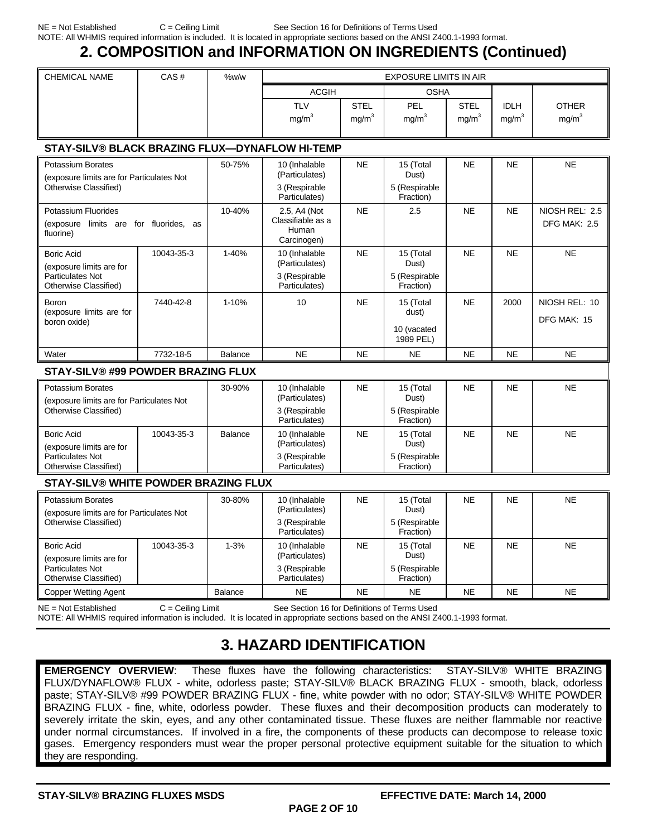### **2. COMPOSITION and INFORMATION ON INGREDIENTS (Continued)**

| <b>CHEMICAL NAME</b> | CAS# | %w/w | <b>EXPOSURE LIMITS IN AIR</b> |                   |                   |             |                   |                   |
|----------------------|------|------|-------------------------------|-------------------|-------------------|-------------|-------------------|-------------------|
|                      |      |      | <b>ACGIH</b>                  |                   | <b>OSHA</b>       |             |                   |                   |
|                      |      |      | TLV                           | <b>STEL</b>       | PEL               | <b>STEL</b> | <b>IDLH</b>       | <b>OTHER</b>      |
|                      |      |      | mg/m <sup>3</sup>             | mg/m <sup>3</sup> | mg/m <sup>3</sup> | mg/m $^3$   | mg/m <sup>3</sup> | mg/m <sup>3</sup> |
|                      |      |      |                               |                   |                   |             |                   |                   |

#### **STAY-SILV® BLACK BRAZING FLUX—DYNAFLOW HI-TEMP**

| Potassium Borates<br>(exposure limits are for Particulates Not                          |                   | 50-75%    | 10 (Inhalable<br>(Particulates)                                   | <b>NE</b> | 15 (Total<br>Dust)                               | <b>NE</b> | <b>NF</b> | <b>NE</b>                             |
|-----------------------------------------------------------------------------------------|-------------------|-----------|-------------------------------------------------------------------|-----------|--------------------------------------------------|-----------|-----------|---------------------------------------|
| Otherwise Classified)                                                                   |                   |           | 3 (Respirable<br>Particulates)                                    |           | 5 (Respirable<br>Fraction)                       |           |           |                                       |
| Potassium Fluorides<br>limits are<br>(exposure)<br>fluorine)                            | for fluorides, as | 10-40%    | 2.5, A4 (Not<br>Classifiable as a<br>Human<br>Carcinogen)         | <b>NE</b> | 2.5                                              | <b>NE</b> | <b>NE</b> | NIOSH REL: 2.5<br><b>DFG MAK: 2.5</b> |
| <b>Boric Acid</b><br>(exposure limits are for                                           | 10043-35-3        | 1-40%     | 10 (Inhalable<br>(Particulates)                                   | <b>NE</b> | 15 (Total<br>Dust)                               | <b>NE</b> | <b>NE</b> | <b>NE</b>                             |
| <b>Particulates Not</b><br>Otherwise Classified)                                        |                   |           | 3 (Respirable<br>Particulates)                                    |           | 5 (Respirable<br>Fraction)                       |           |           |                                       |
| Boron<br>(exposure limits are for<br>boron oxide)                                       | 7440-42-8         | $1 - 10%$ | 10                                                                | <b>NE</b> | 15 (Total<br>dust)<br>10 (vacated<br>1989 PEL)   | <b>NE</b> | 2000      | NIOSH REL: 10<br>DFG MAK: 15          |
| Water                                                                                   | 7732-18-5         | Balance   | <b>NE</b>                                                         | <b>NE</b> | <b>NE</b>                                        | <b>NE</b> | <b>NE</b> | <b>NE</b>                             |
| <b>STAY-SILV® #99 POWDER BRAZING FLUX</b>                                               |                   |           |                                                                   |           |                                                  |           |           |                                       |
| Potassium Borates<br>(exposure limits are for Particulates Not<br>Otherwise Classified) |                   | 30-90%    | 10 (Inhalable<br>(Particulates)<br>3 (Respirable<br>Particulates) | <b>NE</b> | 15 (Total<br>Dust)<br>5 (Respirable<br>Fraction) | <b>NE</b> | <b>NE</b> | <b>NE</b>                             |
| <b>Boric Acid</b><br>(exposure limits are for                                           | 10043-35-3        | Balance   | 10 (Inhalable<br>(Particulates)                                   | <b>NE</b> | 15 (Total<br>Dust)                               | <b>NE</b> | <b>NE</b> | <b>NE</b>                             |

#### **STAY-SILV® WHITE POWDER BRAZING FLUX**

Particulates Not Otherwise Classified)

| Potassium Borates<br>(exposure limits are for Particulates Not<br>Otherwise Classified)    |            | 30-80%   | 10 (Inhalable<br>(Particulates)<br>3 (Respirable<br>Particulates) | <b>NE</b> | 15 (Total<br>Dust)<br>5 (Respirable<br>Fraction) | <b>NE</b> | <b>NE</b> | <b>NE</b> |
|--------------------------------------------------------------------------------------------|------------|----------|-------------------------------------------------------------------|-----------|--------------------------------------------------|-----------|-----------|-----------|
| Boric Acid<br>(exposure limits are for<br><b>Particulates Not</b><br>Otherwise Classified) | 10043-35-3 | $1 - 3%$ | 10 (Inhalable<br>(Particulates)<br>3 (Respirable<br>Particulates) | <b>NE</b> | 15 (Total<br>Dust)<br>5 (Respirable<br>Fraction) | <b>NE</b> | <b>NE</b> | <b>NE</b> |
| <b>Copper Wetting Agent</b>                                                                |            | Balance  | NE                                                                | <b>NE</b> | <b>NE</b>                                        | <b>NE</b> | <b>NE</b> | <b>NE</b> |

5 (Respirable Fraction)

3 (Respirable Particulates)

NE = Not Established C = Ceiling Limit See Section 16 for Definitions of Terms Used

NOTE: All WHMIS required information is included. It is located in appropriate sections based on the ANSI Z400.1-1993 format.

## **3. HAZARD IDENTIFICATION**

**EMERGENCY OVERVIEW**: These fluxes have the following characteristics: STAY-SILV® WHITE BRAZING FLUX/DYNAFLOW® FLUX - white, odorless paste; STAY-SILV® BLACK BRAZING FLUX - smooth, black, odorless paste; STAY-SILV® #99 POWDER BRAZING FLUX - fine, white powder with no odor; STAY-SILV® WHITE POWDER BRAZING FLUX - fine, white, odorless powder. These fluxes and their decomposition products can moderately to severely irritate the skin, eyes, and any other contaminated tissue. These fluxes are neither flammable nor reactive under normal circumstances. If involved in a fire, the components of these products can decompose to release toxic gases. Emergency responders must wear the proper personal protective equipment suitable for the situation to which they are responding.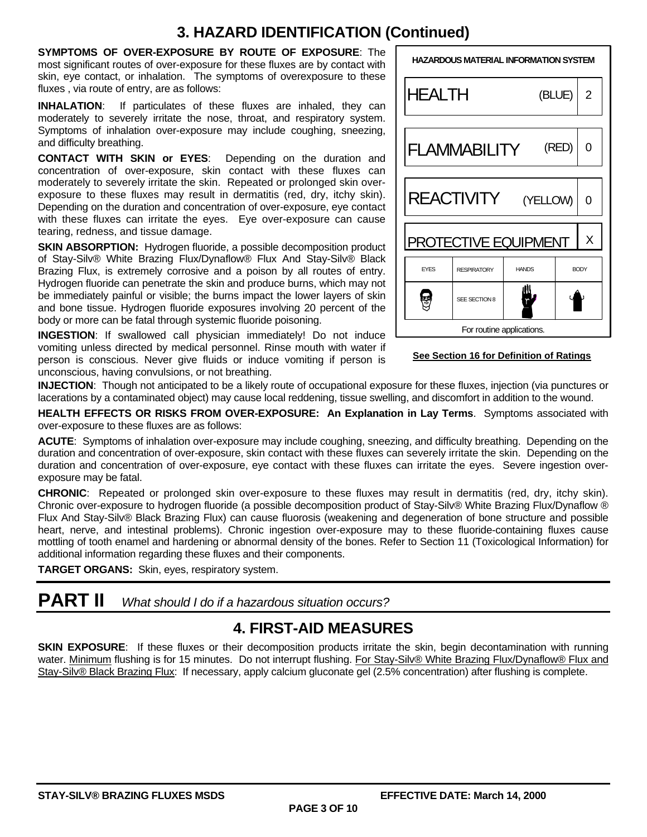### **3. HAZARD IDENTIFICATION (Continued)**

**SYMPTOMS OF OVER-EXPOSURE BY ROUTE OF EXPOSURE**: The most significant routes of over-exposure for these fluxes are by contact with skin, eye contact, or inhalation. The symptoms of overexposure to these fluxes , via route of entry, are as follows:

**INHALATION**: If particulates of these fluxes are inhaled, they can moderately to severely irritate the nose, throat, and respiratory system. Symptoms of inhalation over-exposure may include coughing, sneezing, and difficulty breathing.

**CONTACT WITH SKIN or EYES**: Depending on the duration and concentration of over-exposure, skin contact with these fluxes can moderately to severely irritate the skin. Repeated or prolonged skin overexposure to these fluxes may result in dermatitis (red, dry, itchy skin). Depending on the duration and concentration of over-exposure, eye contact with these fluxes can irritate the eyes. Eye over-exposure can cause tearing, redness, and tissue damage.

**SKIN ABSORPTION:** Hydrogen fluoride, a possible decomposition product of Stay-Silv® White Brazing Flux/Dynaflow® Flux And Stay-Silv® Black Brazing Flux, is extremely corrosive and a poison by all routes of entry. Hydrogen fluoride can penetrate the skin and produce burns, which may not be immediately painful or visible; the burns impact the lower layers of skin and bone tissue. Hydrogen fluoride exposures involving 20 percent of the body or more can be fatal through systemic fluoride poisoning.

**INGESTION**: If swallowed call physician immediately! Do not induce vomiting unless directed by medical personnel. Rinse mouth with water if person is conscious. Never give fluids or induce vomiting if person is unconscious, having convulsions, or not breathing.

| <b>HAZARDOUS MATERIAL INFORMATION SYSTEM</b>                     |                             |                           |       |   |  |  |  |
|------------------------------------------------------------------|-----------------------------|---------------------------|-------|---|--|--|--|
|                                                                  | <b>HEALTH</b><br>(BLUE)     |                           |       |   |  |  |  |
|                                                                  | <b>FLAMMABILITY</b>         |                           | (RED) | ი |  |  |  |
|                                                                  | REACTIVITY (YELLOW)<br>0    |                           |       |   |  |  |  |
|                                                                  | <b>PROTECTIVE EQUIPMENT</b> |                           |       | Χ |  |  |  |
| <b>EYES</b><br><b>HANDS</b><br><b>RESPIRATORY</b><br><b>BODY</b> |                             |                           |       |   |  |  |  |
| SEE SECTION 8                                                    |                             |                           |       |   |  |  |  |
|                                                                  |                             | For routine applications. |       |   |  |  |  |

#### **See Section 16 for Definition of Ratings**

**INJECTION**: Though not anticipated to be a likely route of occupational exposure for these fluxes, injection (via punctures or lacerations by a contaminated object) may cause local reddening, tissue swelling, and discomfort in addition to the wound.

**HEALTH EFFECTS OR RISKS FROM OVER-EXPOSURE: An Explanation in Lay Terms**. Symptoms associated with over-exposure to these fluxes are as follows:

**ACUTE**: Symptoms of inhalation over-exposure may include coughing, sneezing, and difficulty breathing. Depending on the duration and concentration of over-exposure, skin contact with these fluxes can severely irritate the skin. Depending on the duration and concentration of over-exposure, eye contact with these fluxes can irritate the eyes. Severe ingestion overexposure may be fatal.

**CHRONIC**: Repeated or prolonged skin over-exposure to these fluxes may result in dermatitis (red, dry, itchy skin). Chronic over-exposure to hydrogen fluoride (a possible decomposition product of Stay-Silv® White Brazing Flux/Dynaflow ® Flux And Stay-Silv® Black Brazing Flux) can cause fluorosis (weakening and degeneration of bone structure and possible heart, nerve, and intestinal problems). Chronic ingestion over-exposure may to these fluoride-containing fluxes cause mottling of tooth enamel and hardening or abnormal density of the bones. Refer to Section 11 (Toxicological Information) for additional information regarding these fluxes and their components.

**TARGET ORGANS:** Skin, eyes, respiratory system.

**PART II** *What should I do if a hazardous situation occurs?* 

### **4. FIRST-AID MEASURES**

**SKIN EXPOSURE:** If these fluxes or their decomposition products irritate the skin, begin decontamination with running water. Minimum flushing is for 15 minutes. Do not interrupt flushing. For Stay-Silv® White Brazing Flux/Dynaflow® Flux and Stay-Silv® Black Brazing Flux: If necessary, apply calcium gluconate gel (2.5% concentration) after flushing is complete.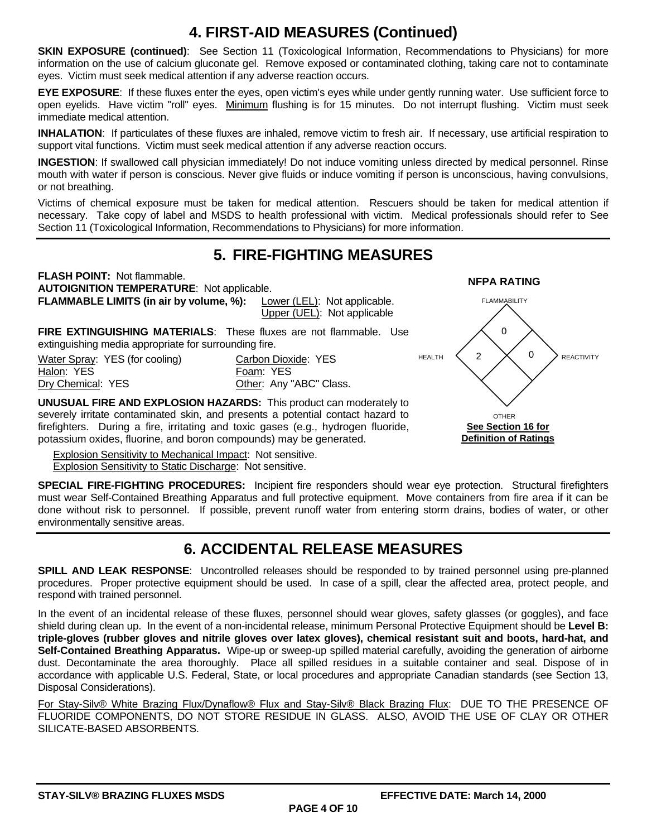### **4. FIRST-AID MEASURES (Continued)**

**SKIN EXPOSURE (continued)**: See Section 11 (Toxicological Information, Recommendations to Physicians) for more information on the use of calcium gluconate gel. Remove exposed or contaminated clothing, taking care not to contaminate eyes. Victim must seek medical attention if any adverse reaction occurs.

**EYE EXPOSURE**: If these fluxes enter the eyes, open victim's eyes while under gently running water. Use sufficient force to open eyelids. Have victim "roll" eyes. Minimum flushing is for 15 minutes. Do not interrupt flushing. Victim must seek immediate medical attention.

**INHALATION**: If particulates of these fluxes are inhaled, remove victim to fresh air. If necessary, use artificial respiration to support vital functions. Victim must seek medical attention if any adverse reaction occurs.

**INGESTION**: If swallowed call physician immediately! Do not induce vomiting unless directed by medical personnel. Rinse mouth with water if person is conscious. Never give fluids or induce vomiting if person is unconscious, having convulsions, or not breathing.

Victims of chemical exposure must be taken for medical attention. Rescuers should be taken for medical attention if necessary. Take copy of label and MSDS to health professional with victim. Medical professionals should refer to See Section 11 (Toxicological Information, Recommendations to Physicians) for more information.

### **5. FIRE-FIGHTING MEASURES**

**FLASH POINT:** Not flammable.<br> **AUTOIGNITION TEMPERATURE**: Not applicable. **FLAMMABLE LIMITS (in air by volume, %):** Lower (LEL): Not applicable. Upper (UEL): Not applicable

**FIRE EXTINGUISHING MATERIALS**: These fluxes are not flammable. Use extinguishing media appropriate for surrounding fire.

Water Spray: YES (for cooling) Carbon Dioxide: YES Halon: YES<br>
<u>Dry Chemical</u>: YES<br>
The Chemical: YES<br>
The Cher: Anv

**UNUSUAL FIRE AND EXPLOSION HAZARDS:** This product can moderately to severely irritate contaminated skin, and presents a potential contact hazard to firefighters. During a fire, irritating and toxic gases (e.g., hydrogen fluoride, potassium oxides, fluorine, and boron compounds) may be generated.

Explosion Sensitivity to Mechanical Impact: Not sensitive.

Explosion Sensitivity to Static Discharge: Not sensitive.



**SPECIAL FIRE-FIGHTING PROCEDURES:** Incipient fire responders should wear eye protection. Structural firefighters must wear Self-Contained Breathing Apparatus and full protective equipment. Move containers from fire area if it can be done without risk to personnel. If possible, prevent runoff water from entering storm drains, bodies of water, or other environmentally sensitive areas.

Other: Any "ABC" Class.

### **6. ACCIDENTAL RELEASE MEASURES**

**SPILL AND LEAK RESPONSE**: Uncontrolled releases should be responded to by trained personnel using pre-planned procedures. Proper protective equipment should be used. In case of a spill, clear the affected area, protect people, and respond with trained personnel.

In the event of an incidental release of these fluxes, personnel should wear gloves, safety glasses (or goggles), and face shield during clean up. In the event of a non-incidental release, minimum Personal Protective Equipment should be **Level B: triple-gloves (rubber gloves and nitrile gloves over latex gloves), chemical resistant suit and boots, hard-hat, and Self-Contained Breathing Apparatus.** Wipe-up or sweep-up spilled material carefully, avoiding the generation of airborne dust. Decontaminate the area thoroughly. Place all spilled residues in a suitable container and seal. Dispose of in accordance with applicable U.S. Federal, State, or local procedures and appropriate Canadian standards (see Section 13, Disposal Considerations).

For Stay-Silv® White Brazing Flux/Dynaflow® Flux and Stay-Silv® Black Brazing Flux: DUE TO THE PRESENCE OF FLUORIDE COMPONENTS, DO NOT STORE RESIDUE IN GLASS. ALSO, AVOID THE USE OF CLAY OR OTHER SILICATE-BASED ABSORBENTS.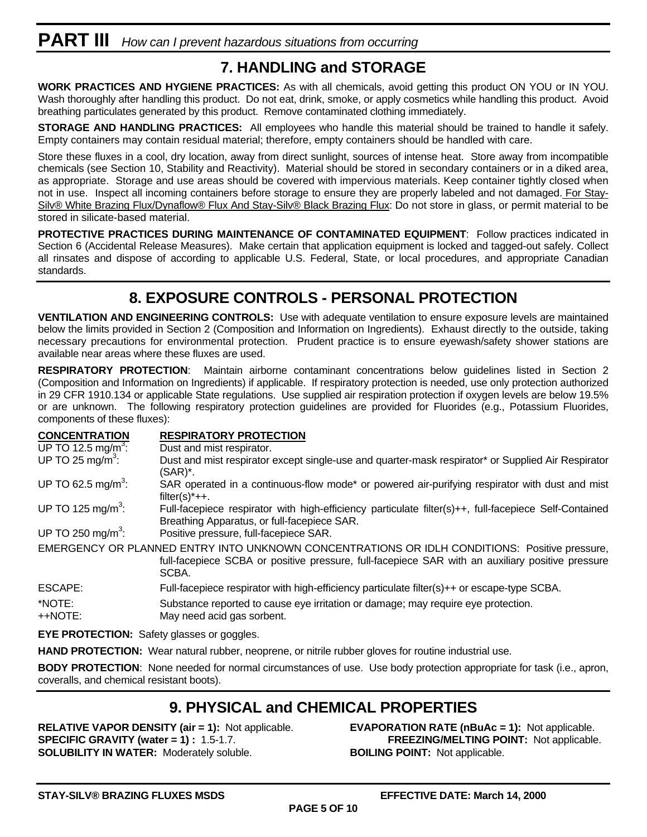## **PART III** *How can I prevent hazardous situations from occurring*

### **7. HANDLING and STORAGE**

**WORK PRACTICES AND HYGIENE PRACTICES:** As with all chemicals, avoid getting this product ON YOU or IN YOU. Wash thoroughly after handling this product. Do not eat, drink, smoke, or apply cosmetics while handling this product. Avoid breathing particulates generated by this product. Remove contaminated clothing immediately.

**STORAGE AND HANDLING PRACTICES:** All employees who handle this material should be trained to handle it safely. Empty containers may contain residual material; therefore, empty containers should be handled with care.

Store these fluxes in a cool, dry location, away from direct sunlight, sources of intense heat. Store away from incompatible chemicals (see Section 10, Stability and Reactivity). Material should be stored in secondary containers or in a diked area, as appropriate. Storage and use areas should be covered with impervious materials. Keep container tightly closed when not in use. Inspect all incoming containers before storage to ensure they are properly labeled and not damaged. For Stay-Silv® White Brazing Flux/Dynaflow® Flux And Stay-Silv® Black Brazing Flux: Do not store in glass, or permit material to be stored in silicate-based material.

**PROTECTIVE PRACTICES DURING MAINTENANCE OF CONTAMINATED EQUIPMENT**: Follow practices indicated in Section 6 (Accidental Release Measures). Make certain that application equipment is locked and tagged-out safely. Collect all rinsates and dispose of according to applicable U.S. Federal, State, or local procedures, and appropriate Canadian standards.

### **8. EXPOSURE CONTROLS - PERSONAL PROTECTION**

**VENTILATION AND ENGINEERING CONTROLS:** Use with adequate ventilation to ensure exposure levels are maintained below the limits provided in Section 2 (Composition and Information on Ingredients). Exhaust directly to the outside, taking necessary precautions for environmental protection. Prudent practice is to ensure eyewash/safety shower stations are available near areas where these fluxes are used.

**RESPIRATORY PROTECTION**: Maintain airborne contaminant concentrations below guidelines listed in Section 2 (Composition and Information on Ingredients) if applicable. If respiratory protection is needed, use only protection authorized in 29 CFR 1910.134 or applicable State regulations. Use supplied air respiration protection if oxygen levels are below 19.5% or are unknown. The following respiratory protection guidelines are provided for Fluorides (e.g., Potassium Fluorides, components of these fluxes):

| <b>CONCENTRATION</b>            | <b>RESPIRATORY PROTECTION</b>                                                                                                                                                                              |
|---------------------------------|------------------------------------------------------------------------------------------------------------------------------------------------------------------------------------------------------------|
| UP TO 12.5 mg/m <sup>3</sup> :  | Dust and mist respirator.                                                                                                                                                                                  |
| UP TO 25 mg/ $\overline{m}^3$ : | Dust and mist respirator except single-use and quarter-mask respirator* or Supplied Air Respirator<br>$(SAR)^*$ .                                                                                          |
| UP TO 62.5 mg/m <sup>3</sup> :  | SAR operated in a continuous-flow mode* or powered air-purifying respirator with dust and mist<br>$filter(s)*++$ .                                                                                         |
| UP TO 125 mg/m <sup>3</sup> :   | Full-facepiece respirator with high-efficiency particulate filter(s)++, full-facepiece Self-Contained<br>Breathing Apparatus, or full-facepiece SAR.                                                       |
| UP TO 250 mg/m <sup>3</sup> :   | Positive pressure, full-facepiece SAR.                                                                                                                                                                     |
|                                 | EMERGENCY OR PLANNED ENTRY INTO UNKNOWN CONCENTRATIONS OR IDLH CONDITIONS: Positive pressure,<br>full-facepiece SCBA or positive pressure, full-facepiece SAR with an auxiliary positive pressure<br>SCBA. |
| ESCAPE:                         | Full-facepiece respirator with high-efficiency particulate filter(s)++ or escape-type SCBA.                                                                                                                |
| *NOTE:<br>++NOTE:               | Substance reported to cause eye irritation or damage; may require eye protection.<br>May need acid gas sorbent.                                                                                            |

**EYE PROTECTION:** Safety glasses or goggles.

**HAND PROTECTION:** Wear natural rubber, neoprene, or nitrile rubber gloves for routine industrial use.

**BODY PROTECTION**: None needed for normal circumstances of use. Use body protection appropriate for task (i.e., apron, coveralls, and chemical resistant boots).

#### **9. PHYSICAL and CHEMICAL PROPERTIES**

**RELATIVE VAPOR DENSITY (air = 1):** Not applicable. **EVAPORATION RATE (nBuAc = 1):** Not applicable. **SPECIFIC GRAVITY (water = 1) :** 1.5-1.7. **FREEZING/MELTING POINT:** Not applicable. **SOLUBILITY IN WATER:** Moderately soluble. **BOILING POINT:** Not applicable.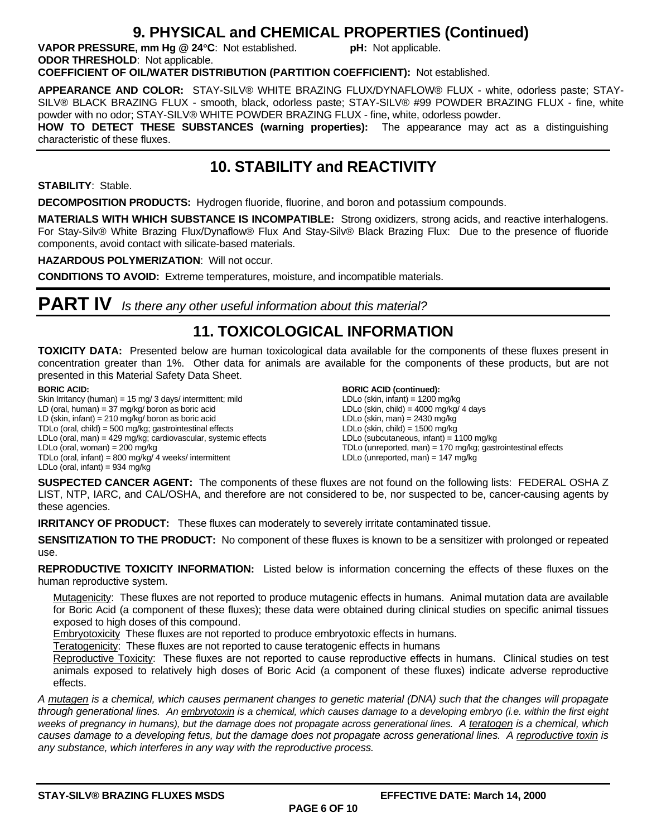#### **9. PHYSICAL and CHEMICAL PROPERTIES (Continued)**

**VAPOR PRESSURE, mm Hg @ 24C**: Not established. **pH:** Not applicable. **ODOR THRESHOLD**: Not applicable.

**COEFFICIENT OF OIL/WATER DISTRIBUTION (PARTITION COEFFICIENT):** Not established.

**APPEARANCE AND COLOR:** STAY-SILV® WHITE BRAZING FLUX/DYNAFLOW® FLUX - white, odorless paste; STAY-SILV® BLACK BRAZING FLUX - smooth, black, odorless paste; STAY-SILV® #99 POWDER BRAZING FLUX - fine, white powder with no odor; STAY-SILV® WHITE POWDER BRAZING FLUX - fine, white, odorless powder.

**HOW TO DETECT THESE SUBSTANCES (warning properties):** The appearance may act as a distinguishing characteristic of these fluxes.

### **10. STABILITY and REACTIVITY**

**STABILITY**: Stable.

**DECOMPOSITION PRODUCTS:** Hydrogen fluoride, fluorine, and boron and potassium compounds.

**MATERIALS WITH WHICH SUBSTANCE IS INCOMPATIBLE:** Strong oxidizers, strong acids, and reactive interhalogens. For Stay-Silv® White Brazing Flux/Dynaflow® Flux And Stay-Silv® Black Brazing Flux: Due to the presence of fluoride components, avoid contact with silicate-based materials.

**HAZARDOUS POLYMERIZATION**: Will not occur.

**CONDITIONS TO AVOID:** Extreme temperatures, moisture, and incompatible materials.

**PART IV** *Is there any other useful information about this material?*

### **11. TOXICOLOGICAL INFORMATION**

**TOXICITY DATA:** Presented below are human toxicological data available for the components of these fluxes present in concentration greater than 1%. Other data for animals are available for the components of these products, but are not presented in this Material Safety Data Sheet.

#### **BORIC ACID:**

Skin Irritancy (human) = 15 mg/ 3 days/ intermittent; mild LD (oral, human) = 37 mg/kg/ boron as boric acid LD (skin, infant) = 210 mg/kg/ boron as boric acid TDLo (oral, child) = 500 mg/kg; gastrointestinal effects LDLo (oral, man) = 429 mg/kg; cardiovascular, systemic effects LDLo (oral, woman) = 200 mg/kg TDLo (oral, infant) = 800 mg/kg/ 4 weeks/ intermittent LDLo (oral, infant) =  $934$  mg/kg

#### **BORIC ACID (continued):**

LDLo (skin, infant) =  $1200$  mg/kg LDLo (skin, child) =  $4000$  mg/kg/ 4 days LDLo (skin, man) =  $2430$  mg/kg LDLo (skin, child) =  $1500$  mg/kg LDLo (subcutaneous, infant) = 1100 mg/kg TDLo (unreported, man) = 170 mg/kg; gastrointestinal effects LDLo (unreported, man) = 147 mg/kg

**SUSPECTED CANCER AGENT:** The components of these fluxes are not found on the following lists: FEDERAL OSHA Z LIST, NTP, IARC, and CAL/OSHA, and therefore are not considered to be, nor suspected to be, cancer-causing agents by these agencies.

**IRRITANCY OF PRODUCT:** These fluxes can moderately to severely irritate contaminated tissue.

**SENSITIZATION TO THE PRODUCT:** No component of these fluxes is known to be a sensitizer with prolonged or repeated use.

**REPRODUCTIVE TOXICITY INFORMATION:** Listed below is information concerning the effects of these fluxes on the human reproductive system.

Mutagenicity: These fluxes are not reported to produce mutagenic effects in humans. Animal mutation data are available for Boric Acid (a component of these fluxes); these data were obtained during clinical studies on specific animal tissues exposed to high doses of this compound.

Embryotoxicity These fluxes are not reported to produce embryotoxic effects in humans.

Teratogenicity: These fluxes are not reported to cause teratogenic effects in humans

Reproductive Toxicity: These fluxes are not reported to cause reproductive effects in humans. Clinical studies on test animals exposed to relatively high doses of Boric Acid (a component of these fluxes) indicate adverse reproductive effects.

*A mutagen is a chemical, which causes permanent changes to genetic material (DNA) such that the changes will propagate through generational lines. An embryotoxin is a chemical, which causes damage to a developing embryo (i.e. within the first eight weeks of pregnancy in humans), but the damage does not propagate across generational lines. A teratogen is a chemical, which causes damage to a developing fetus, but the damage does not propagate across generational lines. A reproductive toxin is any substance, which interferes in any way with the reproductive process.*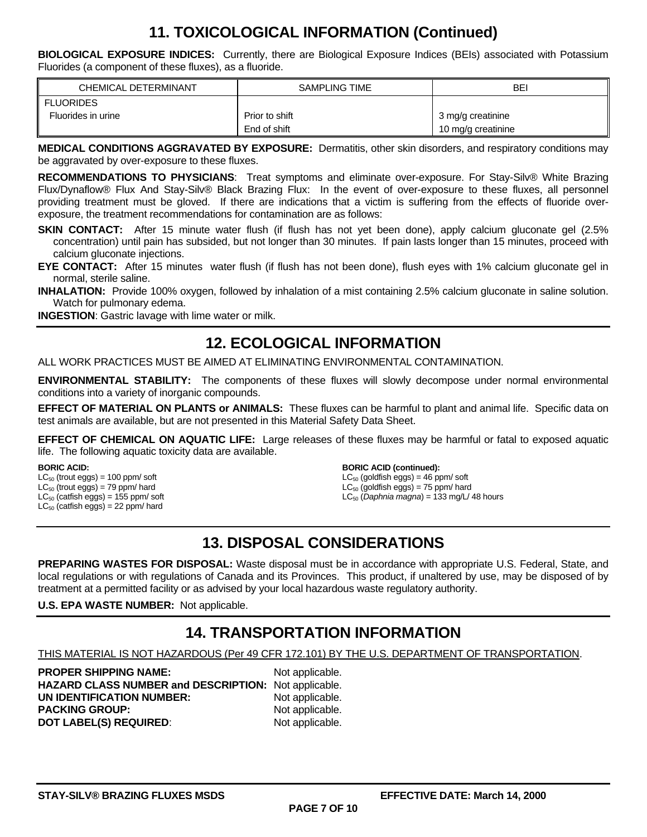### **11. TOXICOLOGICAL INFORMATION (Continued)**

**BIOLOGICAL EXPOSURE INDICES:** Currently, there are Biological Exposure Indices (BEIs) associated with Potassium Fluorides (a component of these fluxes), as a fluoride.

| <b>CHEMICAL DETERMINANT</b> | SAMPLING TIME  | BEI                |
|-----------------------------|----------------|--------------------|
| II FLUORIDES                |                |                    |
| Fluorides in urine          | Prior to shift | 3 mg/g creatinine  |
|                             | End of shift   | 10 mg/g creatinine |

**MEDICAL CONDITIONS AGGRAVATED BY EXPOSURE:** Dermatitis, other skin disorders, and respiratory conditions may be aggravated by over-exposure to these fluxes.

**RECOMMENDATIONS TO PHYSICIANS**: Treat symptoms and eliminate over-exposure. For Stay-Silv® White Brazing Flux/Dynaflow® Flux And Stay-Silv® Black Brazing Flux: In the event of over-exposure to these fluxes, all personnel providing treatment must be gloved. If there are indications that a victim is suffering from the effects of fluoride overexposure, the treatment recommendations for contamination are as follows:

- **SKIN CONTACT:** After 15 minute water flush (if flush has not yet been done), apply calcium gluconate gel (2.5% concentration) until pain has subsided, but not longer than 30 minutes. If pain lasts longer than 15 minutes, proceed with calcium gluconate injections.
- **EYE CONTACT:** After 15 minutes water flush (if flush has not been done), flush eyes with 1% calcium gluconate gel in normal, sterile saline.

**INHALATION:** Provide 100% oxygen, followed by inhalation of a mist containing 2.5% calcium gluconate in saline solution. Watch for pulmonary edema.

**INGESTION**: Gastric lavage with lime water or milk.

### **12. ECOLOGICAL INFORMATION**

ALL WORK PRACTICES MUST BE AIMED AT ELIMINATING ENVIRONMENTAL CONTAMINATION.

**ENVIRONMENTAL STABILITY:** The components of these fluxes will slowly decompose under normal environmental conditions into a variety of inorganic compounds.

**EFFECT OF MATERIAL ON PLANTS or ANIMALS:** These fluxes can be harmful to plant and animal life. Specific data on test animals are available, but are not presented in this Material Safety Data Sheet.

**EFFECT OF CHEMICAL ON AQUATIC LIFE:** Large releases of these fluxes may be harmful or fatal to exposed aquatic life. The following aquatic toxicity data are available.

**BORIC ACID:**   $LC_{50}$  (trout eggs) = 100 ppm/ soft  $LC_{50}$  (trout eggs) = 79 ppm/ hard  $LC_{50}$  (catfish eggs) = 155 ppm/ soft  $LC_{50}$  (catfish eggs) = 22 ppm/ hard

**BORIC ACID (continued):** 

 $LC_{50}$  (goldfish eggs) = 46 ppm/ soft  $LC_{50}$  (goldfish eggs) = 75 ppm/ hard LC50 (*Daphnia magna*) = 133 mg/L/ 48 hours

### **13. DISPOSAL CONSIDERATIONS**

**PREPARING WASTES FOR DISPOSAL:** Waste disposal must be in accordance with appropriate U.S. Federal, State, and local regulations or with regulations of Canada and its Provinces. This product, if unaltered by use, may be disposed of by treatment at a permitted facility or as advised by your local hazardous waste regulatory authority.

**U.S. EPA WASTE NUMBER:** Not applicable.

### **14. TRANSPORTATION INFORMATION**

THIS MATERIAL IS NOT HAZARDOUS (Per 49 CFR 172.101) BY THE U.S. DEPARTMENT OF TRANSPORTATION.

**PROPER SHIPPING NAME:** Not applicable. **HAZARD CLASS NUMBER and DESCRIPTION:** Not applicable. **UN IDENTIFICATION NUMBER:** Not applicable. **PACKING GROUP:** Not applicable. **DOT LABEL(S) REQUIRED:** Not applicable.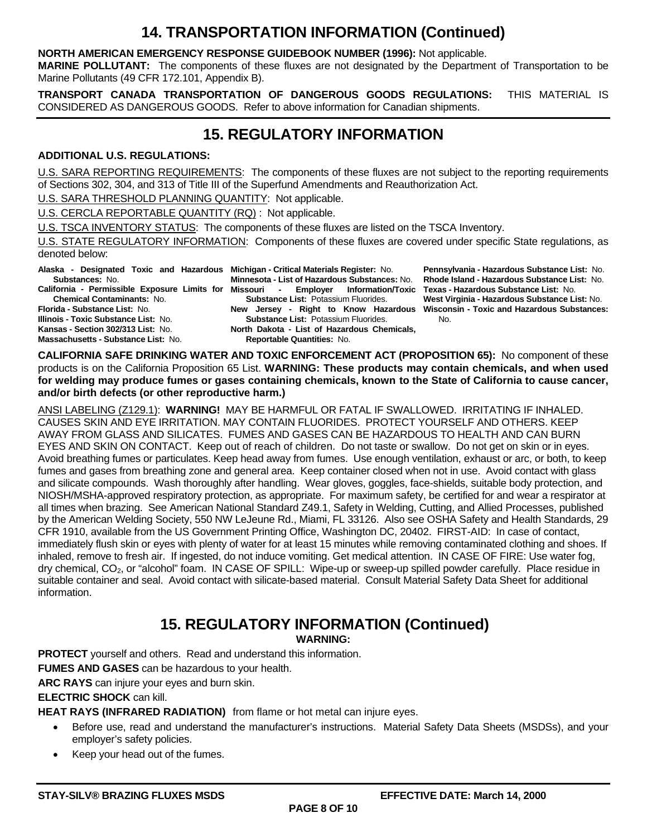### **14. TRANSPORTATION INFORMATION (Continued)**

#### **NORTH AMERICAN EMERGENCY RESPONSE GUIDEBOOK NUMBER (1996):** Not applicable.

**MARINE POLLUTANT:** The components of these fluxes are not designated by the Department of Transportation to be Marine Pollutants (49 CFR 172.101, Appendix B).

**TRANSPORT CANADA TRANSPORTATION OF DANGEROUS GOODS REGULATIONS:** THIS MATERIAL IS CONSIDERED AS DANGEROUS GOODS. Refer to above information for Canadian shipments.

### **15. REGULATORY INFORMATION**

#### **ADDITIONAL U.S. REGULATIONS:**

U.S. SARA REPORTING REQUIREMENTS: The components of these fluxes are not subject to the reporting requirements of Sections 302, 304, and 313 of Title III of the Superfund Amendments and Reauthorization Act.

U.S. SARA THRESHOLD PLANNING QUANTITY: Not applicable.

U.S. CERCLA REPORTABLE QUANTITY (RQ) : Not applicable.

U.S. TSCA INVENTORY STATUS: The components of these fluxes are listed on the TSCA Inventory.

U.S. STATE REGULATORY INFORMATION: Components of these fluxes are covered under specific State regulations, as denoted below:

**Alaska - Designated Toxic and Hazardous Michigan - Critical Materials Register:** No.

**Substances:** No. **California - Permissible Exposure Limits for Missouri - Employer Information/Toxic Chemical Contaminants:** No.

**Florida - Substance List:** No. **Illinois - Toxic Substance List:** No. **Kansas - Section 302/313 List:** No. **Massachusetts - Substance List:** No.

**Minnesota - List of Hazardous Substances:** No. **Substance List:** Potassium Fluorides. **New Jersey - Right to Know Hazardous Substance List:** Potassium Fluorides. **North Dakota - List of Hazardous Chemicals, Reportable Quantities:** No.

**Pennsylvania - Hazardous Substance List:** No. **Rhode Island - Hazardous Substance List:** No. **Texas - Hazardous Substance List:** No. **West Virginia - Hazardous Substance List:** No. **Wisconsin - Toxic and Hazardous Substances:**  No.

**CALIFORNIA SAFE DRINKING WATER AND TOXIC ENFORCEMENT ACT (PROPOSITION 65):** No component of these products is on the California Proposition 65 List. **WARNING: These products may contain chemicals, and when used for welding may produce fumes or gases containing chemicals, known to the State of California to cause cancer, and/or birth defects (or other reproductive harm.)**

ANSI LABELING (Z129.1): **WARNING!** MAY BE HARMFUL OR FATAL IF SWALLOWED. IRRITATING IF INHALED. CAUSES SKIN AND EYE IRRITATION. MAY CONTAIN FLUORIDES. PROTECT YOURSELF AND OTHERS. KEEP AWAY FROM GLASS AND SILICATES. FUMES AND GASES CAN BE HAZARDOUS TO HEALTH AND CAN BURN EYES AND SKIN ON CONTACT. Keep out of reach of children. Do not taste or swallow. Do not get on skin or in eyes. Avoid breathing fumes or particulates. Keep head away from fumes. Use enough ventilation, exhaust or arc, or both, to keep fumes and gases from breathing zone and general area. Keep container closed when not in use. Avoid contact with glass and silicate compounds. Wash thoroughly after handling. Wear gloves, goggles, face-shields, suitable body protection, and NIOSH/MSHA-approved respiratory protection, as appropriate. For maximum safety, be certified for and wear a respirator at all times when brazing. See American National Standard Z49.1, Safety in Welding, Cutting, and Allied Processes, published by the American Welding Society, 550 NW LeJeune Rd., Miami, FL 33126. Also see OSHA Safety and Health Standards, 29 CFR 1910, available from the US Government Printing Office, Washington DC, 20402. FIRST-AID: In case of contact, immediately flush skin or eyes with plenty of water for at least 15 minutes while removing contaminated clothing and shoes. If inhaled, remove to fresh air. If ingested, do not induce vomiting. Get medical attention. IN CASE OF FIRE: Use water fog, dry chemical, CO<sub>2</sub>, or "alcohol" foam. IN CASE OF SPILL: Wipe-up or sweep-up spilled powder carefully. Place residue in suitable container and seal. Avoid contact with silicate-based material. Consult Material Safety Data Sheet for additional information.

## **15. REGULATORY INFORMATION (Continued)**

**WARNING:**

**PROTECT** yourself and others. Read and understand this information.

**FUMES AND GASES** can be hazardous to your health.

**ARC RAYS** can injure your eyes and burn skin.

**ELECTRIC SHOCK** can kill.

**HEAT RAYS (INFRARED RADIATION)** from flame or hot metal can injure eyes.

- Before use, read and understand the manufacturer's instructions. Material Safety Data Sheets (MSDSs), and your employer's safety policies.
- Keep your head out of the fumes.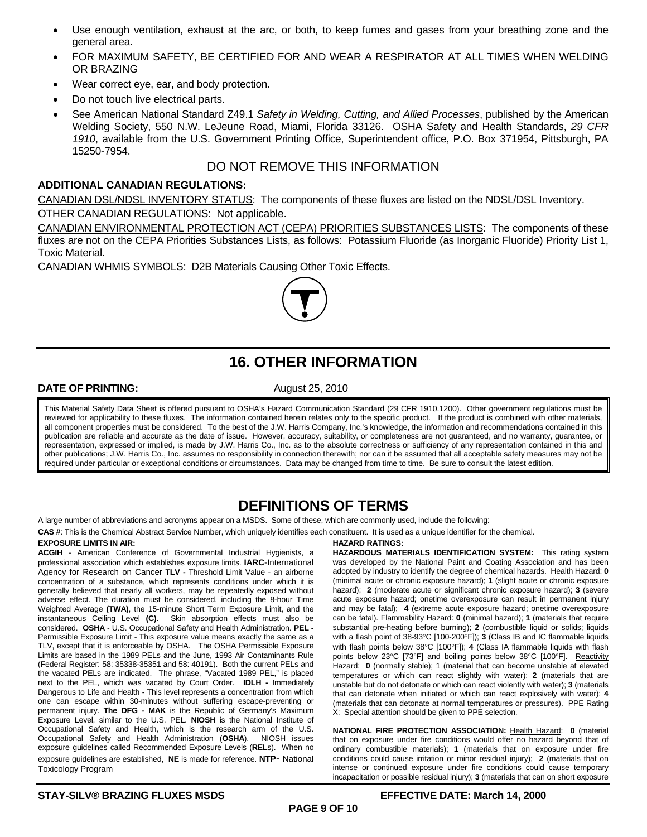- Use enough ventilation, exhaust at the arc, or both, to keep fumes and gases from your breathing zone and the general area.
- FOR MAXIMUM SAFETY, BE CERTIFIED FOR AND WEAR A RESPIRATOR AT ALL TIMES WHEN WELDING OR BRAZING
- Wear correct eye, ear, and body protection.
- Do not touch live electrical parts.
- See American National Standard Z49.1 *Safety in Welding, Cutting, and Allied Processes*, published by the American Welding Society, 550 N.W. LeJeune Road, Miami, Florida 33126. OSHA Safety and Health Standards, *29 CFR 1910*, available from the U.S. Government Printing Office, Superintendent office, P.O. Box 371954, Pittsburgh, PA 15250-7954.

#### DO NOT REMOVE THIS INFORMATION

#### **ADDITIONAL CANADIAN REGULATIONS:**

CANADIAN DSL/NDSL INVENTORY STATUS: The components of these fluxes are listed on the NDSL/DSL Inventory. OTHER CANADIAN REGULATIONS: Not applicable.

CANADIAN ENVIRONMENTAL PROTECTION ACT (CEPA) PRIORITIES SUBSTANCES LISTS: The components of these fluxes are not on the CEPA Priorities Substances Lists, as follows: Potassium Fluoride (as Inorganic Fluoride) Priority List 1, Toxic Material.

CANADIAN WHMIS SYMBOLS: D2B Materials Causing Other Toxic Effects.



## **16. OTHER INFORMATION**

#### **DATE OF PRINTING:** August 25, 2010

This Material Safety Data Sheet is offered pursuant to OSHA's Hazard Communication Standard (29 CFR 1910.1200). Other government regulations must be reviewed for applicability to these fluxes. The information contained herein relates only to the specific product. If the product is combined with other materials, all component properties must be considered. To the best of the J.W. Harris Company, Inc.'s knowledge, the information and recommendations contained in this publication are reliable and accurate as the date of issue. However, accuracy, suitability, or completeness are not guaranteed, and no warranty, guarantee, or representation, expressed or implied, is made by J.W. Harris Co., Inc. as to the absolute correctness or sufficiency of any representation contained in this and other publications; J.W. Harris Co., Inc. assumes no responsibility in connection therewith; nor can it be assumed that all acceptable safety measures may not be required under particular or exceptional conditions or circumstances. Data may be changed from time to time. Be sure to consult the latest edition.

#### **DEFINITIONS OF TERMS**

A large number of abbreviations and acronyms appear on a MSDS. Some of these, which are commonly used, include the following:

**CAS #**: This is the Chemical Abstract Service Number, which uniquely identifies each constituent. It is used as a unique identifier for the chemical.

#### **EXPOSURE LIMITS IN AIR:**

**ACGIH** - American Conference of Governmental Industrial Hygienists, a professional association which establishes exposure limits. **IARC**-International Agency for Research on Cancer **TLV -** Threshold Limit Value - an airborne concentration of a substance, which represents conditions under which it is generally believed that nearly all workers, may be repeatedly exposed without adverse effect. The duration must be considered, including the 8-hour Time Weighted Average **(TWA)**, the 15-minute Short Term Exposure Limit, and the instantaneous Ceiling Level **(C)**. Skin absorption effects must also be considered. **OSHA** - U.S. Occupational Safety and Health Administration. **PEL -** Permissible Exposure Limit - This exposure value means exactly the same as a TLV, except that it is enforceable by OSHA. The OSHA Permissible Exposure Limits are based in the 1989 PELs and the June, 1993 Air Contaminants Rule (Federal Register: 58: 35338-35351 and 58: 40191). Both the current PELs and the vacated PELs are indicated. The phrase, "Vacated 1989 PEL," is placed next to the PEL, which was vacated by Court Order. **IDLH -** Immediately Dangerous to Life and Health **-** This level represents a concentration from which one can escape within 30-minutes without suffering escape-preventing or permanent injury. **The DFG - MAK** is the Republic of Germany's Maximum Exposure Level, similar to the U.S. PEL. **NIOSH** is the National Institute of Occupational Safety and Health, which is the research arm of the U.S. Occupational Safety and Health Administration (**OSHA**). NIOSH issues exposure guidelines called Recommended Exposure Levels (**REL**s). When no exposure guidelines are established, **NE** is made for reference. **NTP**- National Toxicology Program

#### **HAZARD RATINGS:**

**HAZARDOUS MATERIALS IDENTIFICATION SYSTEM:** This rating system was developed by the National Paint and Coating Association and has been adopted by industry to identify the degree of chemical hazards. Health Hazard: **0**  (minimal acute or chronic exposure hazard); **1** (slight acute or chronic exposure hazard); **2** (moderate acute or significant chronic exposure hazard); **3** (severe acute exposure hazard; onetime overexposure can result in permanent injury and may be fatal); **4** (extreme acute exposure hazard; onetime overexposure can be fatal). Flammability Hazard: **0** (minimal hazard); **1** (materials that require substantial pre-heating before burning); **2** (combustible liquid or solids; liquids with a flash point of 38-93°C [100-200°F]); **3** (Class IB and IC flammable liquids with flash points below 38°C [100°F]); 4 (Class IA flammable liquids with flash points below 23°C [73°F] and boiling points below 38°C [100°F]. Reactivity Hazard: 0 (normally stable); 1 (material that can become unstable at elevated temperatures or which can react slightly with water); **2** (materials that are unstable but do not detonate or which can react violently with water); **3** (materials that can detonate when initiated or which can react explosively with water); **4** (materials that can detonate at normal temperatures or pressures). PPE Rating X: Special attention should be given to PPE selection.

**NATIONAL FIRE PROTECTION ASSOCIATION:** Health Hazard: **0** (material that on exposure under fire conditions would offer no hazard beyond that of ordinary combustible materials); **1** (materials that on exposure under fire conditions could cause irritation or minor residual injury); **2** (materials that on intense or continued exposure under fire conditions could cause temporary incapacitation or possible residual injury); **3** (materials that can on short exposure